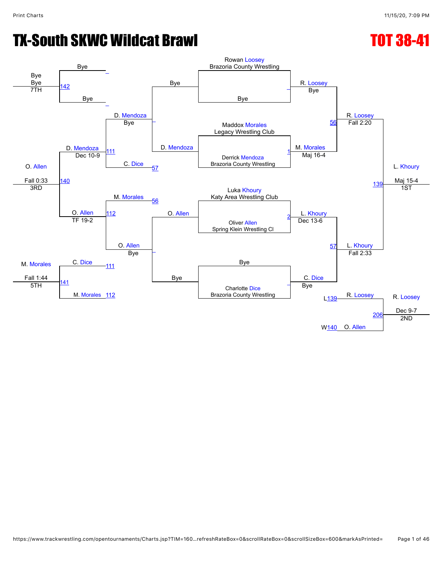# **TX-South SKWC Wildcat Brawl TX-South SKWC Wildcat Brawl**

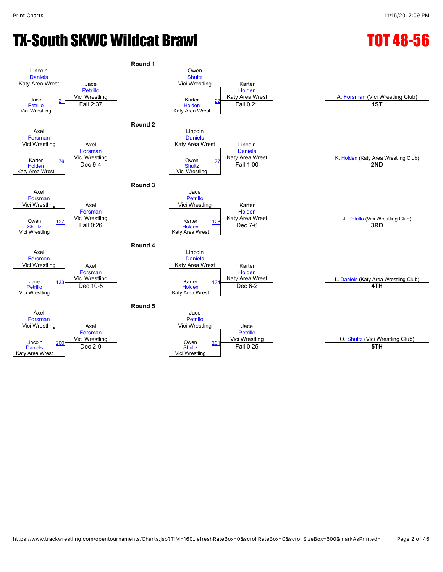# TX-South SKWC Wildcat Brawl TOT 48-56

#### **Round 1** Lincoln **[Daniels](javascript:viewProfile(47991135))** Katy Area Wrest Jace [Petrillo](javascript:viewProfile(63712135)) Vici Wrestling Owen **[Shultz](javascript:viewProfile(698886135))** Vici Wrestling Karter [Holden](javascript:viewProfile(181189135)) Jace <u>21</u> Vici Wrestling Nici Wrestling Club)<br>Petrillo Fall 2:37 Holden Fall 0:21 Tal 0:21 1ST **[Petrillo](javascript:viewProfile(63712135))** Vici Wrestling Fall 2:37 **[Holden](javascript:viewProfile(181189135))** Katy Area Wrest [22](javascript:openBoutSheet(2,) Fall 2:37 Fall 0:21 **1ST Round 2** Axel [Forsman](javascript:viewProfile(693853135)) Vici Wrestling Axel [Forsman](javascript:viewProfile(693853135)) Vici Wrestling [76](javascript:openBoutSheet(3,) Owen Lincoln [Daniels](javascript:viewProfile(47991135)) Katy Area Wrest Lincoln [Daniels](javascript:viewProfile(47991135)) Karter The Communist Communist Communist Communist Communist Communist Communist Communist Communist Communist<br>[Holden](javascript:viewProfile(181189135)) Dec 9-4 Dec 9-4 Shuttz Fall 1:00 Fall 1:00 COMP 2ND [Holden](javascript:viewProfile(181189135)) Katy Area Wrest **[Shultz](javascript:viewProfile(698886135))** Vici Wrestling External Coven 27 **Coven 27 Fall 1:00**<br>Dec 9-4 **2ND Round 3** Axel [Forsman](javascript:viewProfile(693853135)) Vici Wrestling Axel [Forsman](javascript:viewProfile(693853135)) [127](javascript:openBoutSheet(5,) Vici Wrestling<br>
127 Tall 0.000 Jace [Petrillo](javascript:viewProfile(63712135)) Vici Wrestling **Karter** [Holden](javascript:viewProfile(181189135))<br>Katy Area Wrest Owen 127 Vici Wrestling National Communication of Marter 128 Katy Area Wrest Mess J. [Petrillo](javascript:viewProfile(63712135)) (Vici Wrestling Club)<br>Shultz Tall 0:26 Holden Dec 7-6 Dec 7-6 3RD **[Shultz](javascript:viewProfile(698886135))** Vici Wrestling [Holden](javascript:viewProfile(181189135)) Katy Area Wrest **Example 28 Rafter [128](javascript:openBoutSheet(6,) Dec 7-6 3RD**<br> **Fall 0:26 3RD Round 4** Axel [Forsman](javascript:viewProfile(693853135)) Vici Wrestling Axel [Forsman](javascript:viewProfile(693853135)) <u>[133](javascript:openBoutSheet(7,)</u> Vici Wrestling<br>133 North Ann ann an North American Starter Lincoln [Daniels](javascript:viewProfile(47991135)) Katy Area Wrest Karter [Holden](javascript:viewProfile(181189135))<br>Katy Area Wrest Vici Wrestling<br>
The Mater and Mater and Mater and Mater and Mater and Mater and Mater and Material Dec 6-2<br>
Holden Dec 6-2 **4TH** [Petrillo](javascript:viewProfile(63712135)) Vici Wrestling [Holden](javascript:viewProfile(181189135)) Katy Area Wrest [134](javascript:openBoutSheet(8,) Dec 10-5 Dec 6-2 **4TH Round 5** Axel [Forsman](javascript:viewProfile(693853135)) Vici Wrestling Axel [Forsman](javascript:viewProfile(693853135)) Vici Wrestling Jace [Petrillo](javascript:viewProfile(63712135)) Vici Wrestling **Jace** [Petrillo](javascript:viewProfile(63712135)) Vici Wrestling O. [Shultz](javascript:viewProfile(698886135)) (Vici Wrestling Club) Lincoln [Daniels](javascript:viewProfile(47991135)) Katy Area Wrest [200](javascript:openBoutSheet(9,) Victor Westing Coven **[Shultz](javascript:viewProfile(698886135))** Vici Wrestling [201](javascript:openBoutSheet(10,) Dec 2-0 **5TH**<br>Dec 2-0 **5TH**<br>Dec 2-0 **5TH**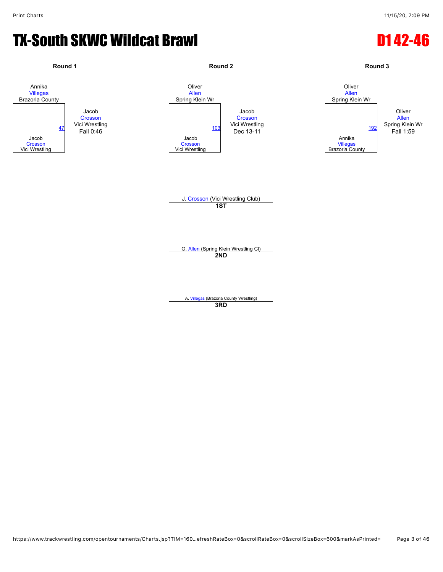#### TX-South SKWC Wildcat Brawl D142-46

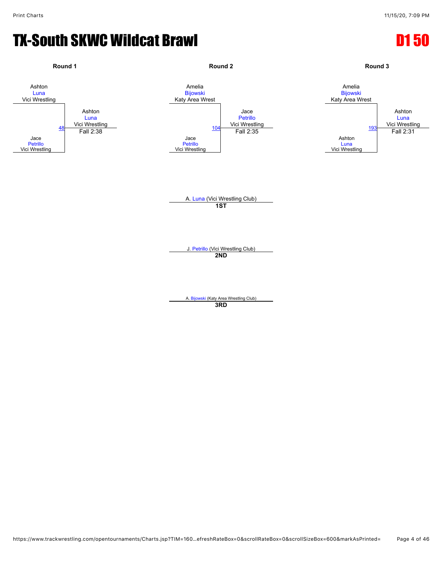#### **TX-South SKWC Wildcat Brawl D1 50**

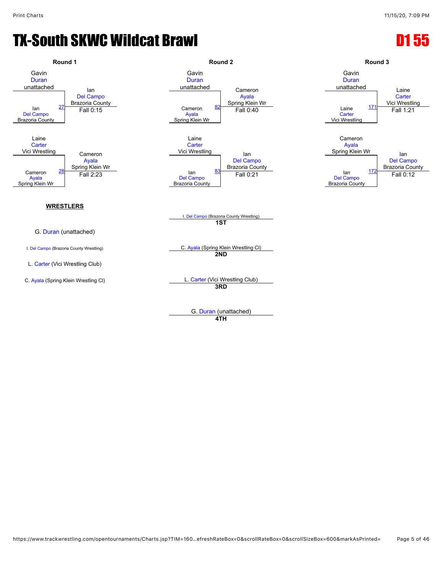### **TX-South SKWC Wildcat Brawl D1 55**



**4TH**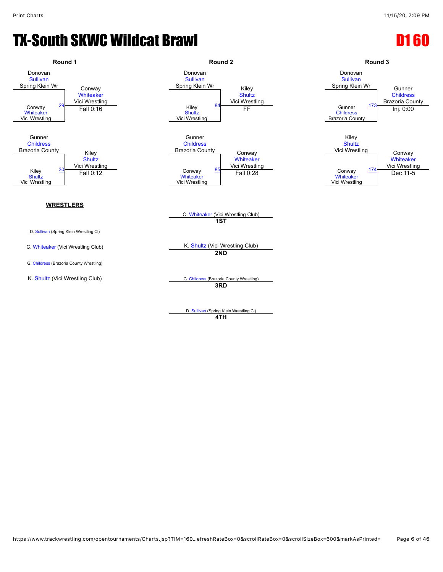#### **TX-South SKWC Wildcat Brawl D1 600 and Control Control Control Control Control Control Control Control Control Control Control Control Control Control Control Control Control Control Control Control Control Control Contro**



D. [Sullivan](javascript:viewProfile(42624135)) (Spring Klein Wrestling Cl) **4TH**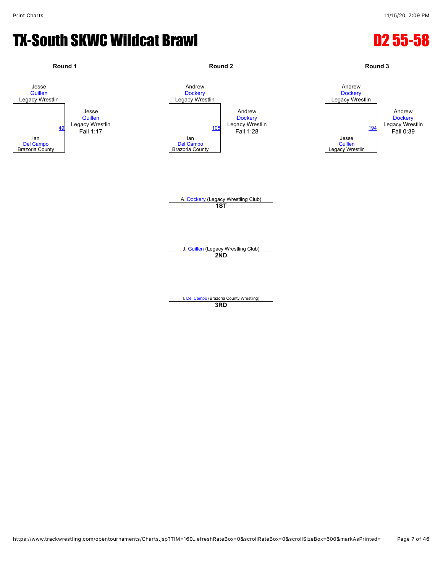#### TX-South SKWC Wildcat Brawl D2 55-58

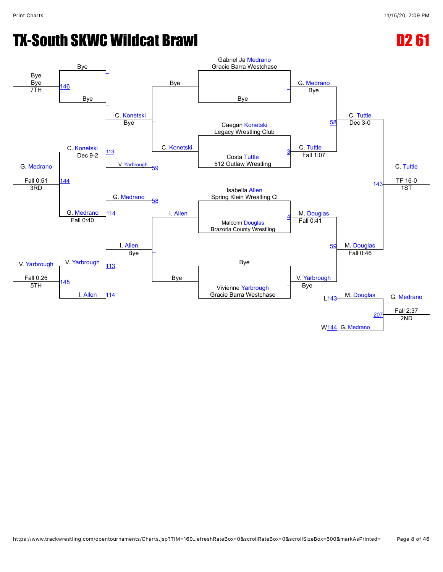# **TX-South SKWC Wildcat Brawl D2 61**

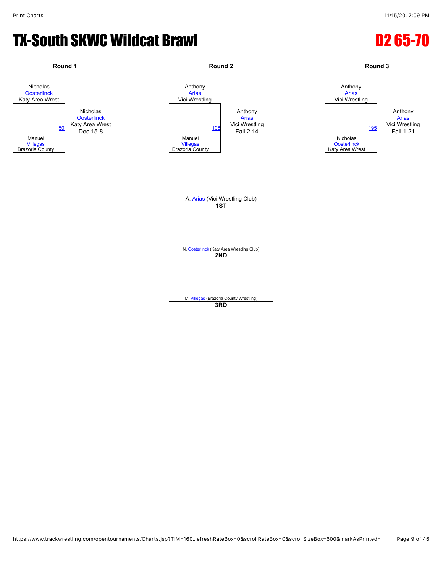#### TX-South SKWC Wildcat Brawl D2 65-70

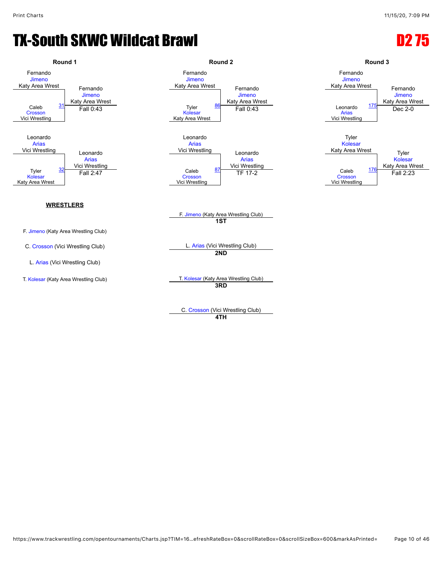### TX-South SKWC Wildcat Brawl D2 75



C. [Crosson](javascript:viewProfile(62172135)) (Vici Wrestling Club) **4TH**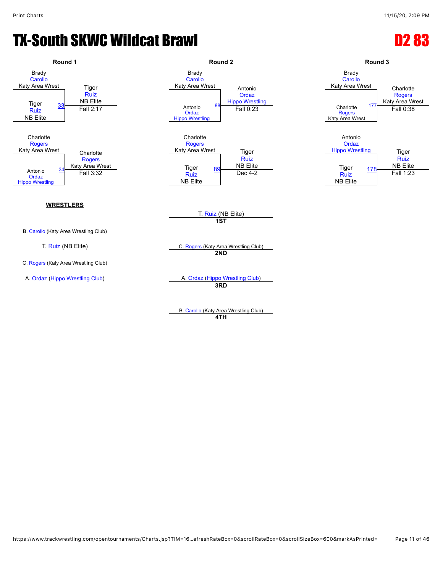#### TX-South SKWC Wildcat Brawl D2 83

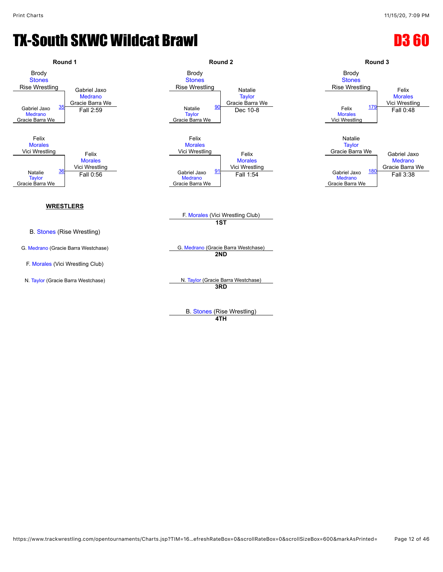### **TX-South SKWC Wildcat Brawl D3 60**



**4TH**

https://www.trackwrestling.com/opentournaments/Charts.jsp?TIM=16…efreshRateBox=0&scrollRateBox=0&scrollSizeBox=600&markAsPrinted= Page 12 of 46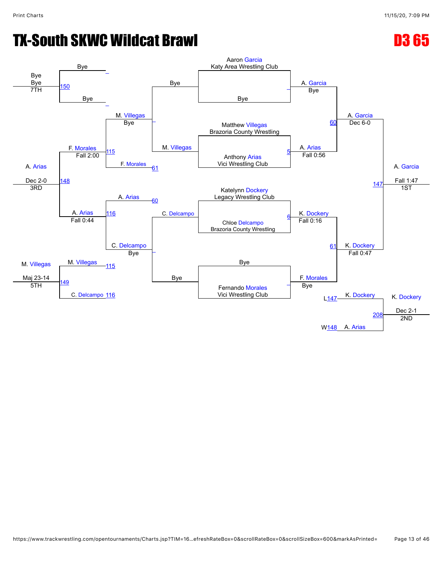# **TX-South SKWC Wildcat Brawl D3 65**

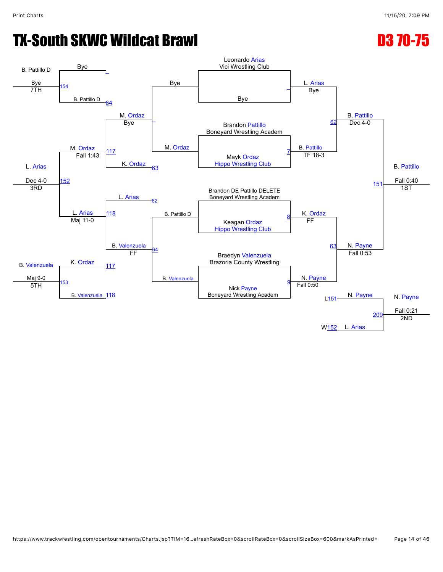# TX-South SKWC Wildcat Brawl D3 70-75

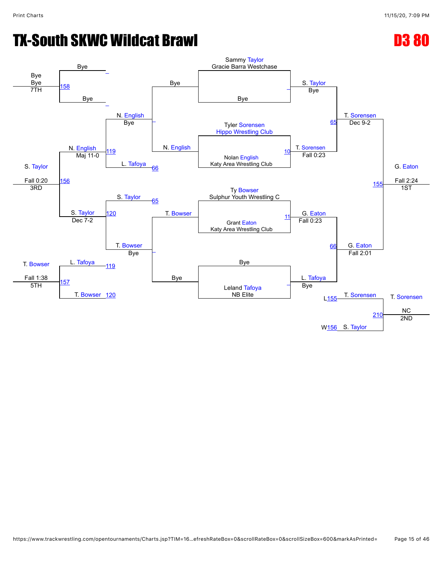# **TX-South SKWC Wildcat Brawl D3 80**

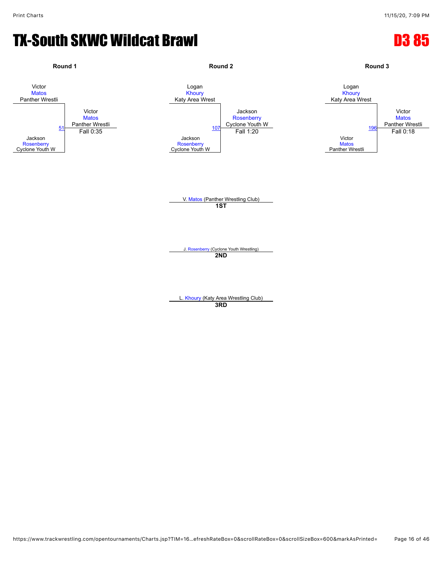#### **TX-South SKWC Wildcat Brawl D3 85**

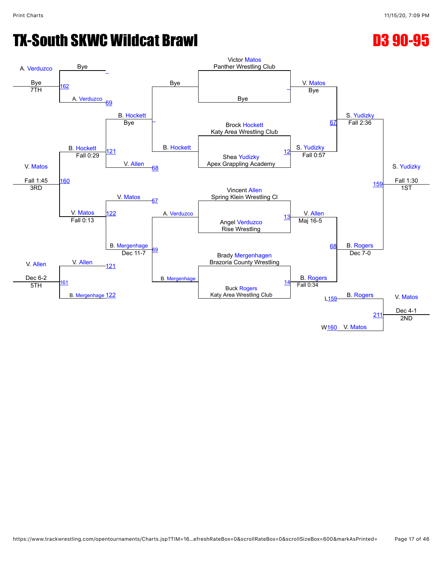# TX-South SKWC Wildcat Brawl D3 90-95

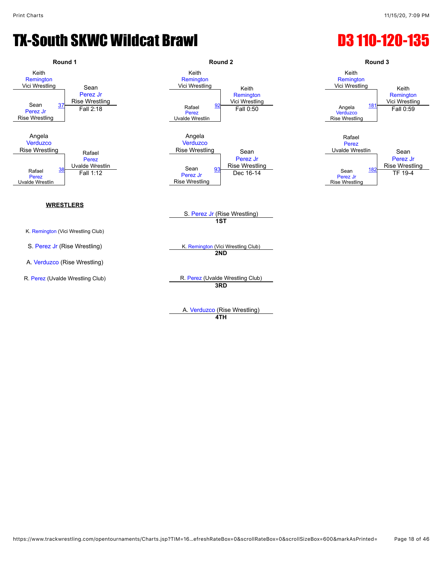#### TX-South SKWC Wildcat Brawl **D3 110-120-135**



**4TH**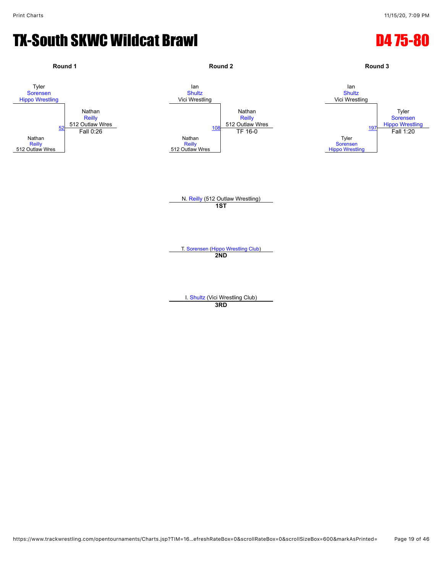#### TX-South SKWC Wildcat Brawl D4 75-80

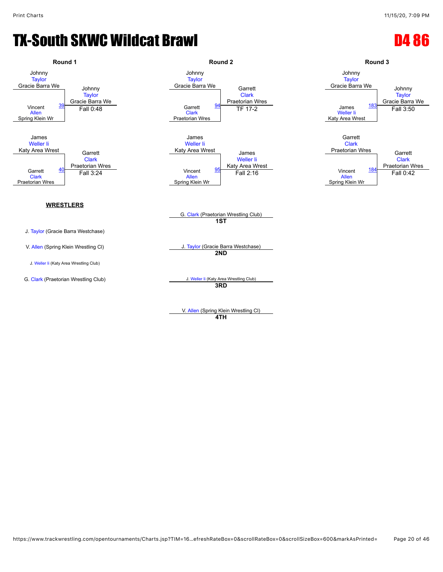#### TX-South SKWC Wildcat Brawl D4 86



V. [Allen](javascript:viewProfile(47969096)) (Spring Klein Wrestling Cl) **4TH**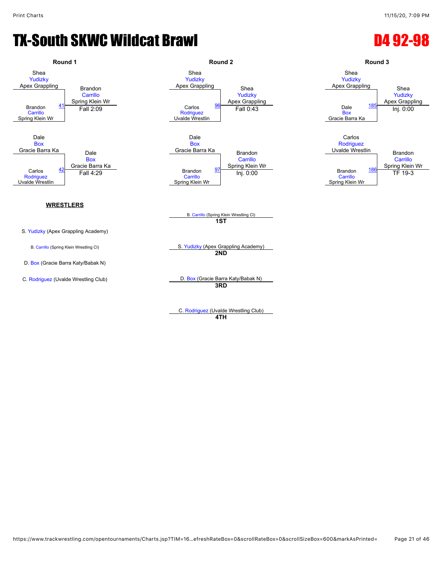### TX-South SKWC Wildcat Brawl D4 92-98



D. [Box](javascript:viewProfile(1552821009)) (Gracie Barra Katy/Babak N)

Apex Grappling Shea [Yudizky](javascript:viewProfile(1168300096)) Apex Grappling  $\frac{96}{96}$  $\frac{96}{96}$  $\frac{96}{96}$  Pall 0:43 Gracie Barra Ka<br>Brandon **[Carrillo](javascript:viewProfile(65257135))** Spring Klein Wr  $\frac{97}{2}$  $\frac{97}{2}$  $\frac{97}{2}$  Brandon<br>  $\frac{97}{2}$  Brandon



Spring Klein Wr

B. [Carrillo](javascript:viewProfile(65257135)) (Spring Klein Wrestling Cl) **1ST**

B. [Carrillo](javascript:viewProfile(65257135)) (Spring Klein Wrestling Cl) S. [Yudizky](javascript:viewProfile(1168300096)) (Apex Grappling Academy) **2ND**

C. [Rodriguez](javascript:viewProfile(1008587009)) (Uvalde Wrestling Club) D. [Box](javascript:viewProfile(1552821009)) (Gracie Barra Katy/Babak N) **3RD**

> C. [Rodriguez](javascript:viewProfile(1008587009)) (Uvalde Wrestling Club) **4TH**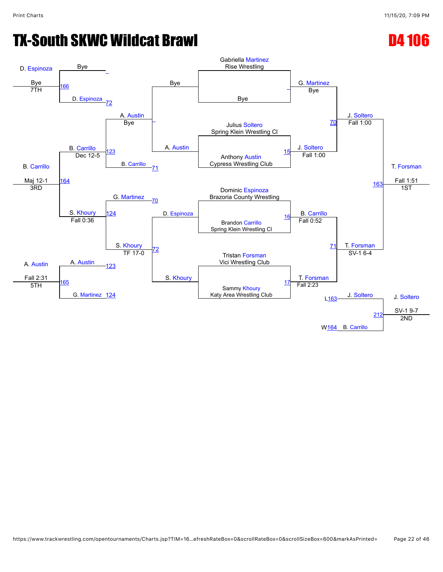# TX-South SKWC Wildcat Brawl D4 106

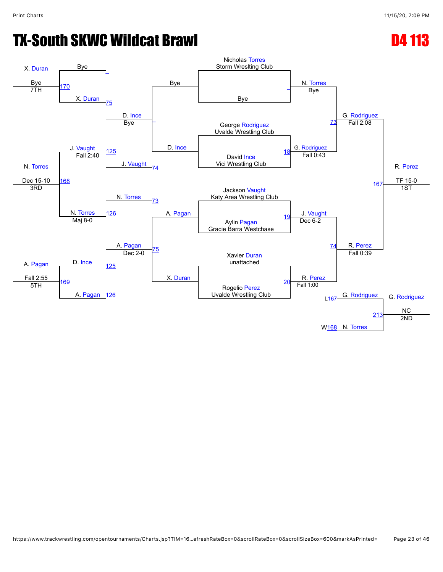# **TX-South SKWC Wildcat Brawl D4 113**

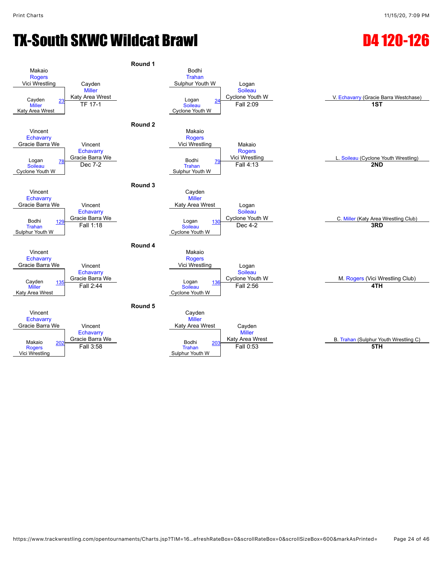# TX-South SKWC Wildcat Brawl D4 120-126

#### **Round 1** Makaio [Rogers](javascript:viewProfile(185098135)) Vici Wrestling Cayden [Miller](javascript:viewProfile(32284071)) Katy Area Wrest Bodhi [Trahan](javascript:viewProfile(1301055009)) Sulphur Youth W Logan [Soileau](javascript:viewProfile(1037182009)) Cayden 23 Katy Area Wrest Cayden 24 Cyclone Youth W M V. [Echavarry](javascript:viewProfile(616783132)) (Gracie Barra Westchase)<br>
Miller TF 17-1 Soileau Fall 2:09 Tan 18T **[Miller](javascript:viewProfile(32284071))** Katy Area Wrest  $TF$  17-1 **[Soileau](javascript:viewProfile(1037182009))** Cyclone Youth W Extra Millet Logan [24](javascript:openBoutSheet(2,) **Julie 12:09**<br>TF 17-1 Soileau Fall 2:09 **1ST Round 2** Vincent **[Echavarry](javascript:viewProfile(616783132))** Gracie Barra We Vincent **[Echavarry](javascript:viewProfile(616783132)) Gracie Barra We**<br> **Replace 7.2**<br> **Bodhi** Makaio [Rogers](javascript:viewProfile(185098135)) Vici Wrestling Makaio [Rogers](javascript:viewProfile(185098135))<br>Vici Wrestling Logan T8 Gracie Barra We (Cyclone Youth Wrestling Vici Wrestling Vici Wrestling Microsoft L. [Soileau](javascript:viewProfile(1037182009)) (Cyclone Youth Wrestling)<br>Soileau (Cyclone Youth Wrestling) Dec 7-2 **[Soileau](javascript:viewProfile(1037182009))** Cyclone Youth W [Trahan](javascript:viewProfile(1301055009)) Sulphur Youth W [79](javascript:openBoutSheet(4,) Dec 7-2 Fall 4:13 **2ND Round 3** Vincent **[Echavarry](javascript:viewProfile(616783132))** Gracie Barra We Vincent **[Echavarry](javascript:viewProfile(616783132))** Gracie Barra We Cayden [Miller](javascript:viewProfile(32284071)) Katy Area Wrest Logan [Soileau](javascript:viewProfile(1037182009))<br>Cyclone Youth W Podhi and the Same Youth W Cyclone Youth W C. [Miller](javascript:viewProfile(32284071)) (Katy Area Wrestling Club)<br>Trahan 129 Fall 1:18 Soileau Soileau Dec 4-2 [Trahan](javascript:viewProfile(1301055009)) Sulphur Youth W [129](javascript:openBoutSheet(5,) Chacle Barria We Logan [Soileau](javascript:viewProfile(1037182009)) Cyclone Youth W External Accounts Fall 1:18 **Fall 1:18 Container Sole and Accounts Containers 3RD**<br>
Fall 1:18 **3RD Round 4** Vincent **[Echavarry](javascript:viewProfile(616783132))** Gracie Barra We Vincent **[Echavarry](javascript:viewProfile(616783132))** Gracie Barra We Makaio [Rogers](javascript:viewProfile(185098135)) Vici Wrestling Logan [Soileau](javascript:viewProfile(1037182009))<br>Cyclone Youth W Cayden 135 Gracie Barra We Logan Logan 136 Cyclone Youth W M. [Rogers](javascript:viewProfile(185098135)) (Vici Wrestling Club)<br>
Miller Fall 2:44 Soileau Fall 2:56 4TH [Miller](javascript:viewProfile(32284071)) Katy Area Wrest Logan **[Soileau](javascript:viewProfile(1037182009))** Cyclone Youth W [136](javascript:openBoutSheet(8,) Fall 2:44 Fall 2:56 **4TH Round 5** Vincent **[Echavarry](javascript:viewProfile(616783132))** Gracie Barra We Vincent **[Echavarry](javascript:viewProfile(616783132))** [202](javascript:openBoutSheet(9,) Gracie Barra We<br>
Foll 3:59 Cayden **[Miller](javascript:viewProfile(32284071))** Katy Area Wrest Cayden **[Miller](javascript:viewProfile(32284071))** Makaio 202 Gracie Barra We **Area Mercie Barra We Area B. [Trahan](javascript:viewProfile(1301055009)) (Sulphur Youth Wrestling C)**<br>Rogers **Fall 3:58** Fall D:53 Frahan Trahan Fall 0:53 Fall D:53 **5TH [Rogers](javascript:viewProfile(185098135))** Vici Wrestling [Trahan](javascript:viewProfile(1301055009)) Sulphur Youth W [203](javascript:openBoutSheet(10,) Fall 3:58 Fall 0:53 **5TH**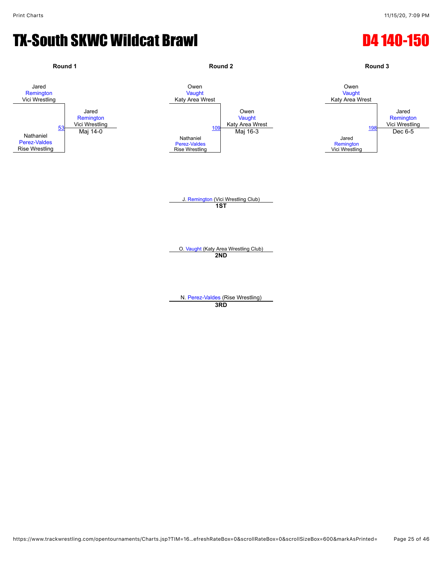### TX-South SKWC Wildcat Brawl D4 140-150

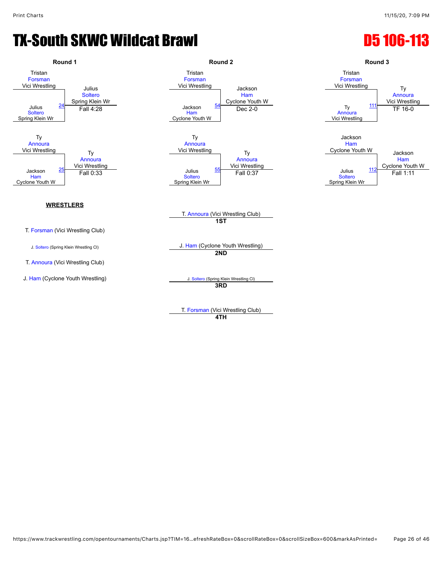### **TX-South SKWC Wildcat Brawl D5 106-113**



**4TH**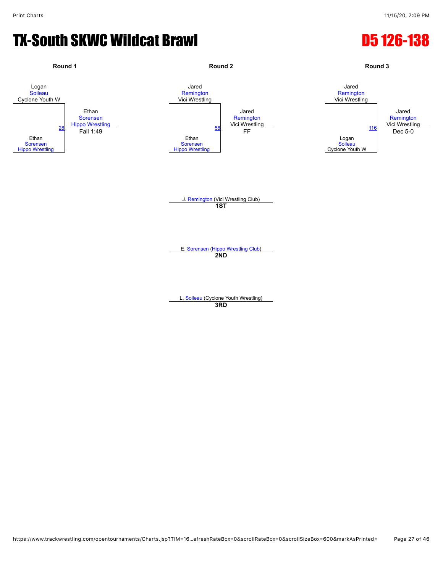### TX-South SKWC Wildcat Brawl D5 126-138

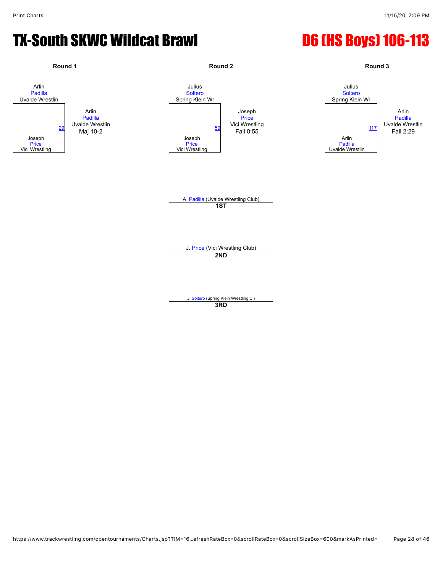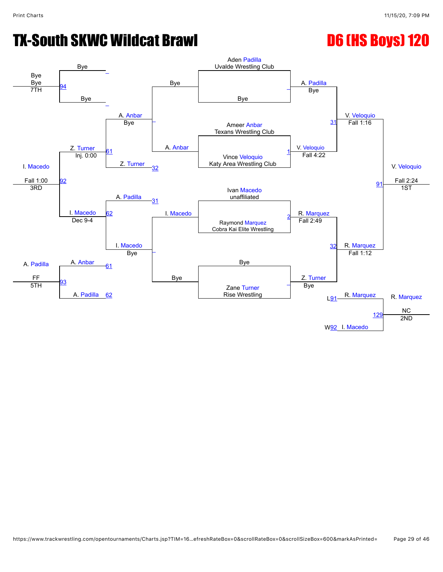![](_page_28_Figure_3.jpeg)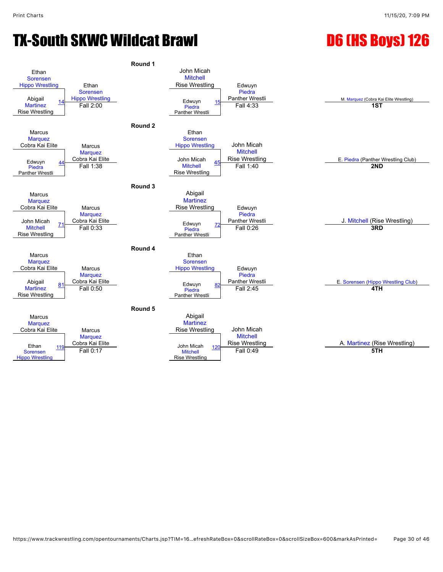![](_page_29_Figure_4.jpeg)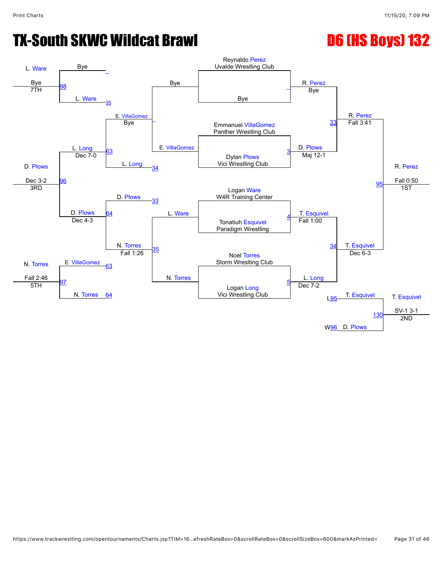![](_page_30_Figure_3.jpeg)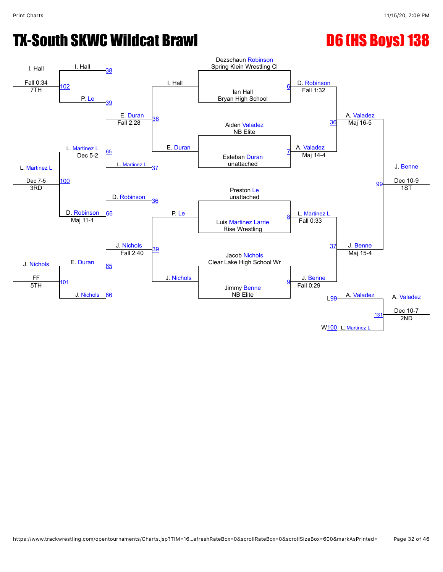![](_page_31_Figure_3.jpeg)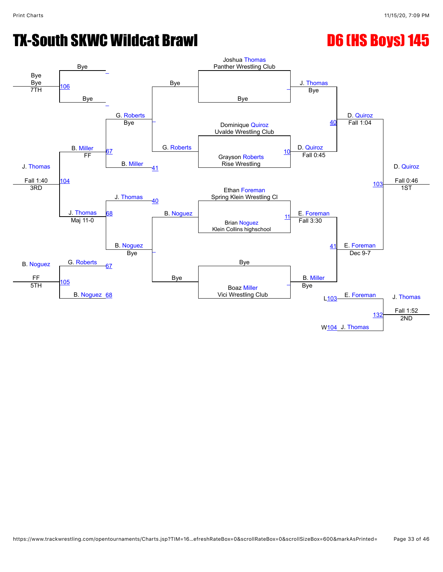![](_page_32_Figure_4.jpeg)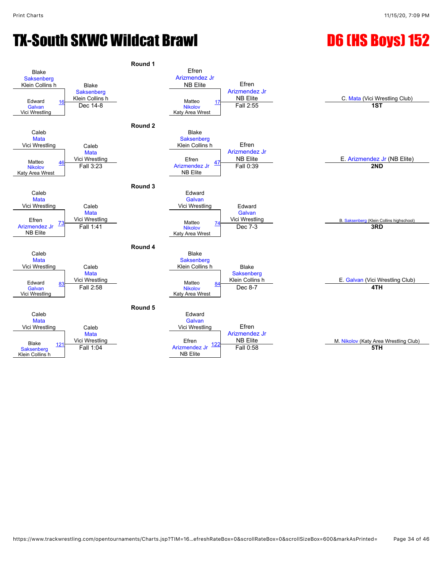![](_page_33_Figure_4.jpeg)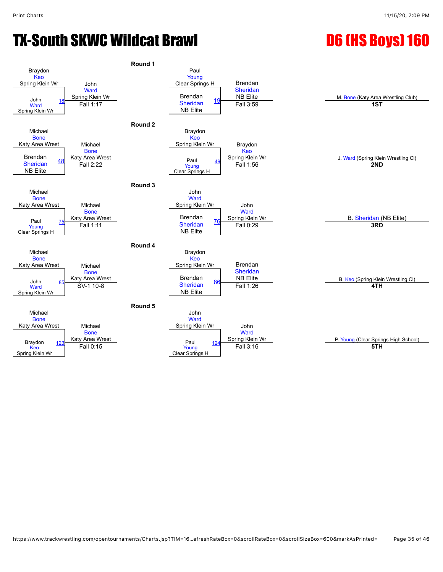![](_page_34_Figure_4.jpeg)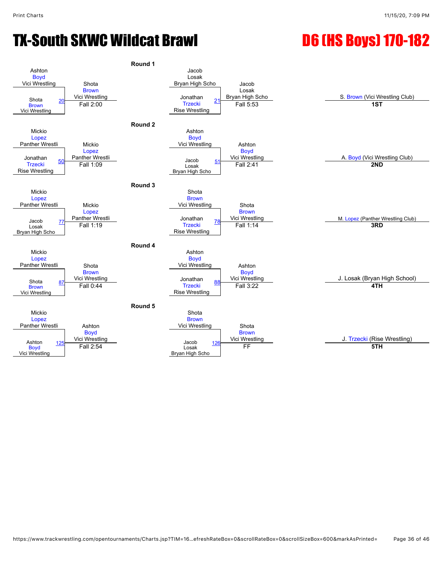![](_page_35_Figure_3.jpeg)

![](_page_35_Figure_4.jpeg)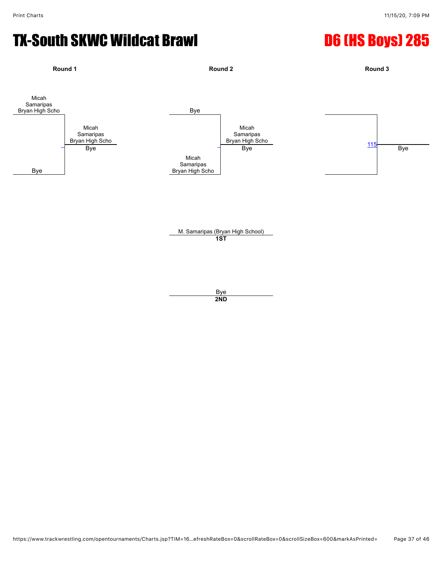![](_page_36_Figure_3.jpeg)

**2ND**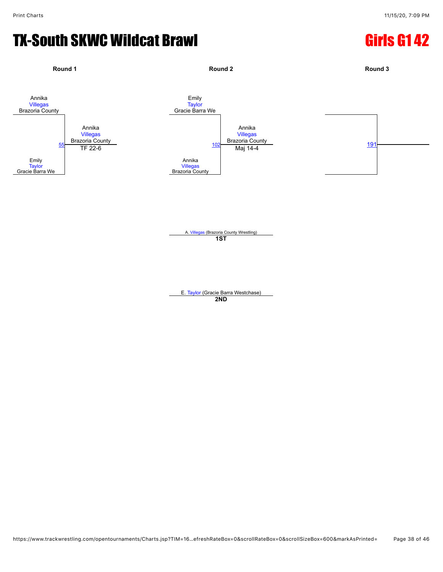# TX-South SKWC Wildcat Brawl Girls G1 42

![](_page_37_Figure_3.jpeg)

A. [Villegas](javascript:viewProfile(896283132)) (Brazoria County Wrestling) **1ST**

E. [Taylor](javascript:viewProfile(49224135)) (Gracie Barra Westchase) **2ND**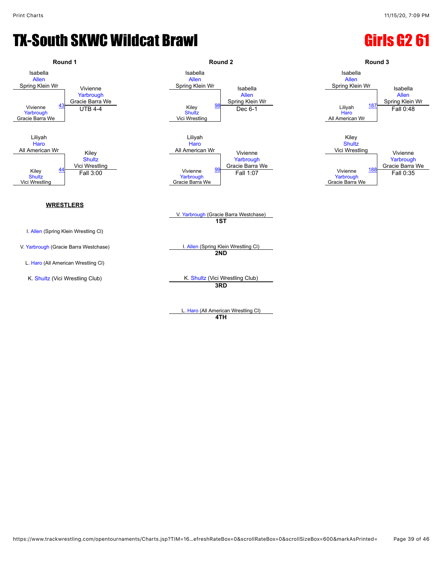### TX-South SKWC Wildcat Brawl Guidean Control Cirls G2 61

![](_page_38_Figure_3.jpeg)

L. [Haro](javascript:viewProfile(686568135)) (All American Wrestling Cl) **4TH**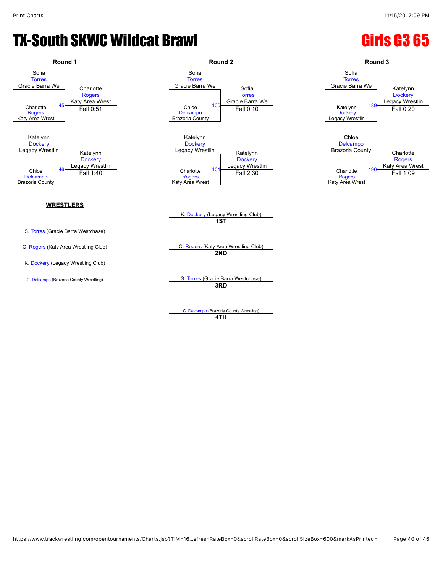### TX-South SKWC Wildcat Brawl Gastro Girls G3 65

![](_page_39_Figure_3.jpeg)

C. [Delcampo](javascript:viewProfile(384101135)) (Brazoria County Wrestling) **4TH**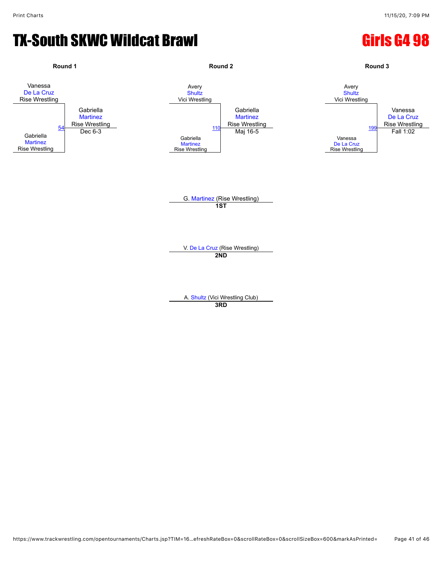### TX-South SKWC Wildcat Brawl Girls G4 98

![](_page_40_Figure_3.jpeg)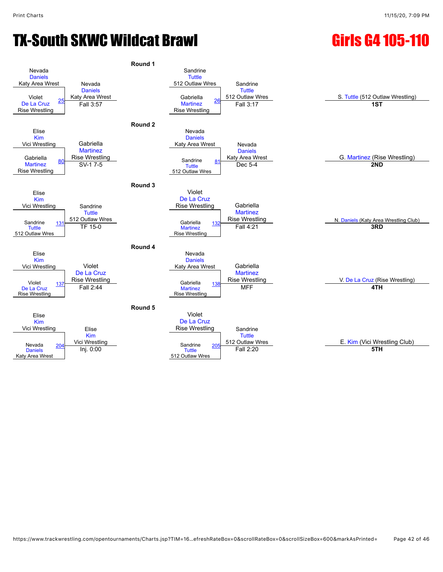# TX-South SKWC Wildcat Brawl Girls G4 105-110

![](_page_41_Figure_3.jpeg)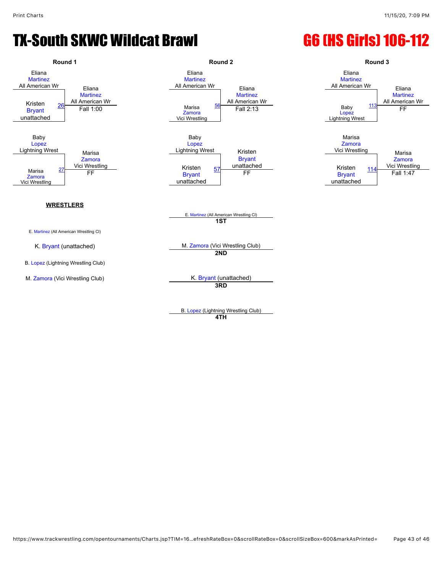### TX-South SKWC Wildcat Brawl G6 (HS Girls) 106-112

![](_page_42_Figure_3.jpeg)

**4TH**

https://www.trackwrestling.com/opentournaments/Charts.jsp?TIM=16…efreshRateBox=0&scrollRateBox=0&scrollSizeBox=600&markAsPrinted= Page 43 of 46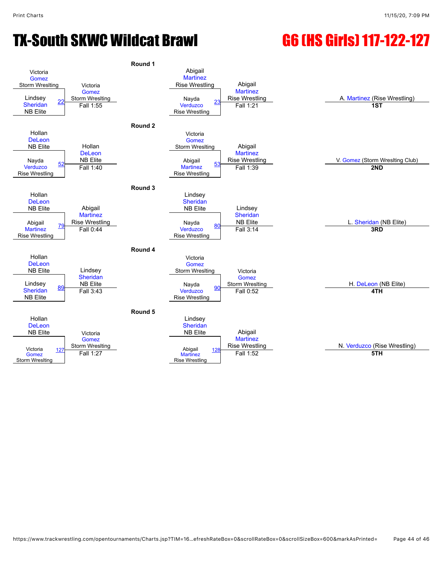# TX-South SKWC Wildcat Brawl G6 (HS Girls) 117-122-127

![](_page_43_Figure_3.jpeg)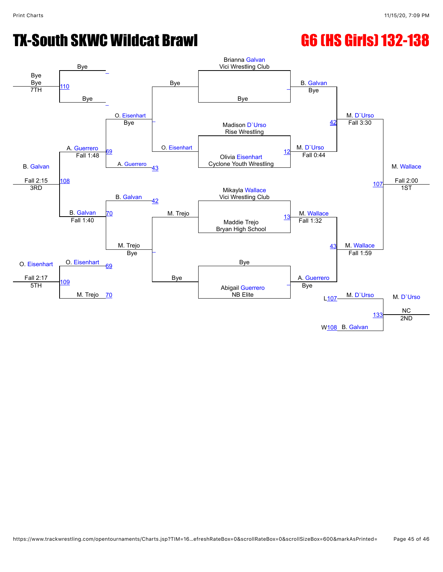# TX-South SKWC Wildcat Brawl G6 (HS Girls) 132-138

![](_page_44_Figure_3.jpeg)